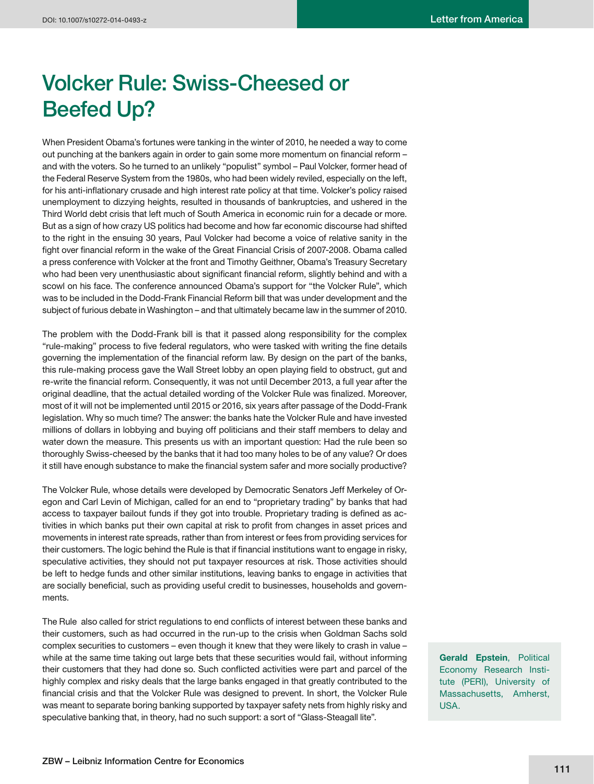## **Volcker Rule: Swiss-Cheesed or Beefed Up?**

When President Obama's fortunes were tanking in the winter of 2010, he needed a way to come out punching at the bankers again in order to gain some more momentum on financial reform and with the voters. So he turned to an unlikely "populist" symbol – Paul Volcker, former head of the Federal Reserve System from the 1980s, who had been widely reviled, especially on the left, for his anti-inflationary crusade and high interest rate policy at that time. Volcker's policy raised unemployment to dizzying heights, resulted in thousands of bankruptcies, and ushered in the Third World debt crisis that left much of South America in economic ruin for a decade or more. But as a sign of how crazy US politics had become and how far economic discourse had shifted to the right in the ensuing 30 years, Paul Volcker had become a voice of relative sanity in the fight over financial reform in the wake of the Great Financial Crisis of 2007-2008. Obama called a press conference with Volcker at the front and Timothy Geithner, Obama's Treasury Secretary who had been very unenthusiastic about significant financial reform, slightly behind and with a scowl on his face. The conference announced Obama's support for "the Volcker Rule", which was to be included in the Dodd-Frank Financial Reform bill that was under development and the subject of furious debate in Washington – and that ultimately became law in the summer of 2010.

The problem with the Dodd-Frank bill is that it passed along responsibility for the complex "rule-making" process to five federal regulators, who were tasked with writing the fine details governing the implementation of the financial reform law. By design on the part of the banks, this rule-making process gave the Wall Street lobby an open playing field to obstruct, gut and re-write the financial reform. Consequently, it was not until December 2013, a full year after the original deadline, that the actual detailed wording of the Volcker Rule was finalized. Moreover, most of it will not be implemented until 2015 or 2016, six years after passage of the Dodd-Frank legislation. Why so much time? The answer: the banks hate the Volcker Rule and have invested millions of dollars in lobbying and buying off politicians and their staff members to delay and water down the measure. This presents us with an important question: Had the rule been so thoroughly Swiss-cheesed by the banks that it had too many holes to be of any value? Or does it still have enough substance to make the financial system safer and more socially productive?

The Volcker Rule, whose details were developed by Democratic Senators Jeff Merkeley of Oregon and Carl Levin of Michigan, called for an end to "proprietary trading" by banks that had access to taxpayer bailout funds if they got into trouble. Proprietary trading is defined as activities in which banks put their own capital at risk to profit from changes in asset prices and movements in interest rate spreads, rather than from interest or fees from providing services for their customers. The logic behind the Rule is that if financial institutions want to engage in risky, speculative activities, they should not put taxpayer resources at risk. Those activities should be left to hedge funds and other similar institutions, leaving banks to engage in activities that are socially beneficial, such as providing useful credit to businesses, households and governments.

The Rule also called for strict regulations to end conflicts of interest between these banks and their customers, such as had occurred in the run-up to the crisis when Goldman Sachs sold complex securities to customers – even though it knew that they were likely to crash in value – while at the same time taking out large bets that these securities would fail, without informing their customers that they had done so. Such conflicted activities were part and parcel of the highly complex and risky deals that the large banks engaged in that greatly contributed to the financial crisis and that the Volcker Rule was designed to prevent. In short, the Volcker Rule was meant to separate boring banking supported by taxpayer safety nets from highly risky and speculative banking that, in theory, had no such support: a sort of "Glass-Steagall lite".

**Gerald Epstein**, Political Economy Research Institute (PERI), University of Massachusetts, Amherst, USA.